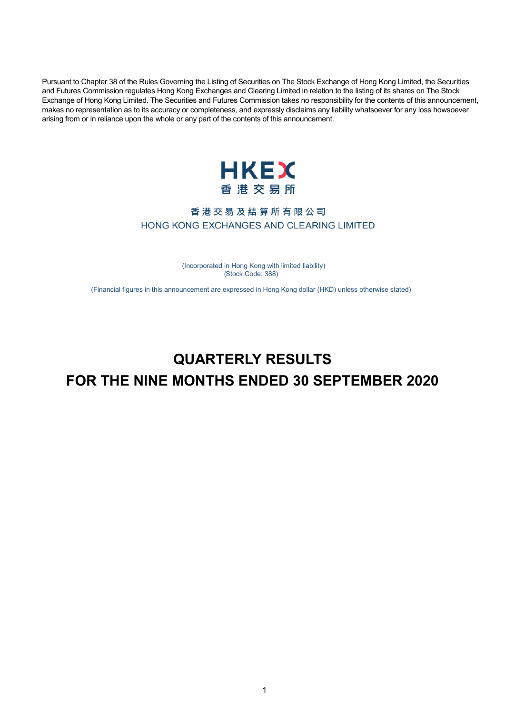Pursuant to Chapter 38 of the Rules Governing the Listing of Securities on The Stock Exchange of Hong Kong Limited, the Securities and Futures Commission regulates Hong Kong Exchanges and Clearing Limited in relation to the listing of its shares on The Stock Exchange of Hong Kong Limited. The Securities and Futures Commission takes no responsibility for the contents of this announcement, makes no representation as to its accuracy or completeness, and expressly disclaims any liability whatsoever for any loss howsoever arising from or in reliance upon the whole or any part of the contents of this announcement.



## 香港交易及結算所有限公司 HONG KONG EXCHANGES AND CLEARING LIMITED

 ( Incorporated in Hong Kong with limited liability) ( Stock Code: 388)

(Financial figures in this announcement are expressed in Hong Kong dollar (HKD) unless otherwise stated)

# **QUARTERLY RESULTS FOR THE NINE MONTHS ENDED 30 SEPTEMBER 2020**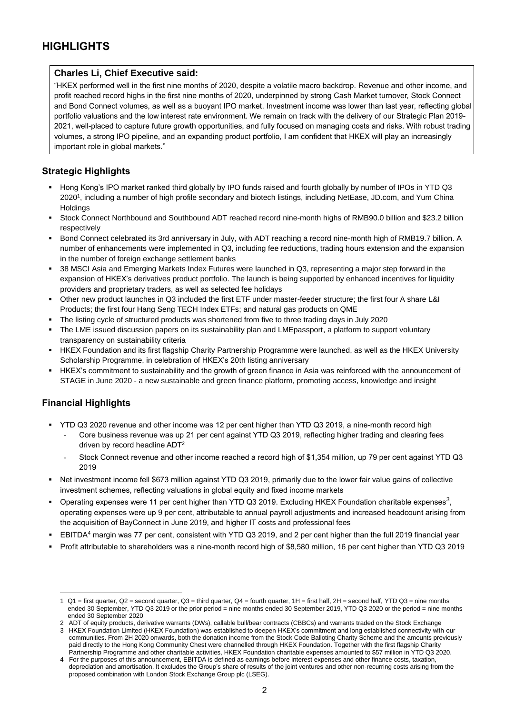#### **Charles Li, Chief Executive said:**

"HKEX performed well in the first nine months of 2020, despite a volatile macro backdrop. Revenue and other income, and profit reached record highs in the first nine months of 2020, underpinned by strong Cash Market turnover, Stock Connect and Bond Connect volumes, as well as a buoyant IPO market. Investment income was lower than last year, reflecting global portfolio valuations and the low interest rate environment. We remain on track with the delivery of our Strategic Plan 2019- 2021, well-placed to capture future growth opportunities, and fully focused on managing costs and risks. With robust trading volumes, a strong IPO pipeline, and an expanding product portfolio, I am confident that HKEX will play an increasingly important role in global markets."

### **Strategic Highlights**

- Hong Kong's IPO market ranked third globally by IPO funds raised and fourth globally by number of IPOs in YTD Q3 2020<sup>1</sup> , including a number of high profile secondary and biotech listings, including NetEase, JD.com, and Yum China **Holdings**
- Stock Connect Northbound and Southbound ADT reached record nine-month highs of RMB90.0 billion and \$23.2 billion respectively
- Bond Connect celebrated its 3rd anniversary in July, with ADT reaching a record nine-month high of RMB19.7 billion. A number of enhancements were implemented in Q3, including fee reductions, trading hours extension and the expansion in the number of foreign exchange settlement banks
- 38 MSCI Asia and Emerging Markets Index Futures were launched in Q3, representing a major step forward in the expansion of HKEX's derivatives product portfolio. The launch is being supported by enhanced incentives for liquidity providers and proprietary traders, as well as selected fee holidays
- Other new product launches in Q3 included the first ETF under master-feeder structure; the first four A share L&I Products; the first four Hang Seng TECH Index ETFs; and natural gas products on QME
- The listing cycle of structured products was shortened from five to three trading days in July 2020
- The LME issued discussion papers on its sustainability plan and LMEpassport, a platform to support voluntary transparency on sustainability criteria
- HKEX Foundation and its first flagship Charity Partnership Programme were launched, as well as the HKEX University Scholarship Programme, in celebration of HKEX's 20th listing anniversary
- HKEX's commitment to sustainability and the growth of green finance in Asia was reinforced with the announcement of STAGE in June 2020 - a new sustainable and green finance platform, promoting access, knowledge and insight

#### **Financial Highlights**

- YTD Q3 2020 revenue and other income was 12 per cent higher than YTD Q3 2019, a nine-month record high
	- Core business revenue was up 21 per cent against YTD Q3 2019, reflecting higher trading and clearing fees driven by record headline ADT<sup>2</sup>
	- Stock Connect revenue and other income reached a record high of \$1,354 million, up 79 per cent against YTD Q3 2019
- Net investment income fell \$673 million against YTD Q3 2019, primarily due to the lower fair value gains of collective investment schemes, reflecting valuations in global equity and fixed income markets
- Operating expenses were 11 per cent higher than YTD Q3 2019. Excluding HKEX Foundation charitable expenses<sup>3</sup>, operating expenses were up 9 per cent, attributable to annual payroll adjustments and increased headcount arising from the acquisition of BayConnect in June 2019, and higher IT costs and professional fees
- EBITDA<sup>4</sup> margin was 77 per cent, consistent with YTD Q3 2019, and 2 per cent higher than the full 2019 financial year
- Profit attributable to shareholders was a nine-month record high of \$8,580 million, 16 per cent higher than YTD Q3 2019

 $\overline{a}$ 1 Q1 = first quarter, Q2 = second quarter, Q3 = third quarter, Q4 = fourth quarter, 1H = first half, 2H = second half, YTD Q3 = nine months ended 30 September, YTD Q3 2019 or the prior period = nine months ended 30 September 2019, YTD Q3 2020 or the period = nine months ended 30 September 2020

<sup>2</sup> ADT of equity products, derivative warrants (DWs), callable bull/bear contracts (CBBCs) and warrants traded on the Stock Exchange 3 HKEX Foundation Limited (HKEX Foundation) was established to deepen HKEX's commitment and long established connectivity with our communities. From 2H 2020 onwards, both the donation income from the Stock Code Balloting Charity Scheme and the amounts previously paid directly to the Hong Kong Community Chest were channelled through HKEX Foundation. Together with the first flagship Charity Partnership Programme and other charitable activities, HKEX Foundation charitable expenses amounted to \$57 million in YTD Q3 2020.

<sup>4</sup> For the purposes of this announcement, EBITDA is defined as earnings before interest expenses and other finance costs, taxation, depreciation and amortisation. It excludes the Group's share of results of the joint ventures and other non-recurring costs arising from the proposed combination with London Stock Exchange Group plc (LSEG).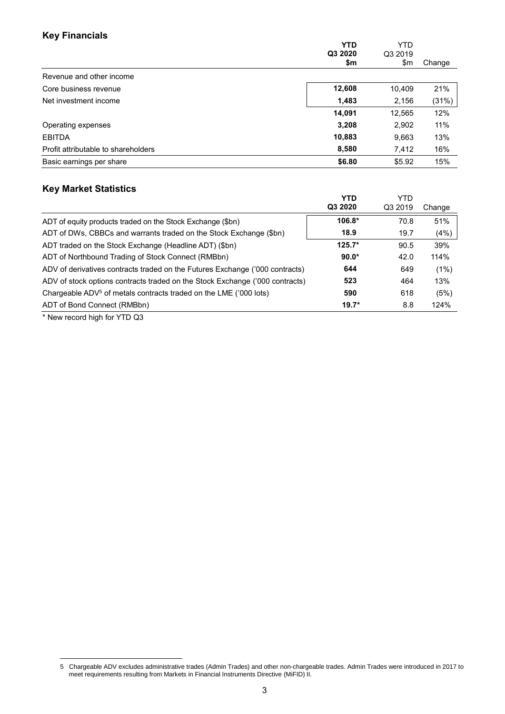# **Key Financials**

| . <i>.</i>                          | <b>YTD</b><br>Q3 2020<br>\$m | <b>YTD</b><br>Q3 2019<br>\$m | Change |
|-------------------------------------|------------------------------|------------------------------|--------|
| Revenue and other income            |                              |                              |        |
| Core business revenue               | 12,608                       | 10,409                       | 21%    |
| Net investment income               | 1,483                        | 2,156                        | (31%)  |
|                                     | 14,091                       | 12,565                       | 12%    |
| Operating expenses                  | 3,208                        | 2,902                        | 11%    |
| <b>EBITDA</b>                       | 10,883                       | 9,663                        | 13%    |
| Profit attributable to shareholders | 8,580                        | 7,412                        | 16%    |
| Basic earnings per share            | \$6.80                       | \$5.92                       | 15%    |
|                                     |                              |                              |        |

#### **Key Market Statistics**

|                                                                               | YTD<br>Q3 2020 | YTD<br>Q3 2019 | Change |
|-------------------------------------------------------------------------------|----------------|----------------|--------|
| ADT of equity products traded on the Stock Exchange (\$bn)                    | $106.8*$       | 70.8           | 51%    |
| ADT of DWs, CBBCs and warrants traded on the Stock Exchange (\$bn)            | 18.9           | 19.7           | (4%)   |
| ADT traded on the Stock Exchange (Headline ADT) (\$bn)                        | $125.7*$       | 90.5           | 39%    |
| ADT of Northbound Trading of Stock Connect (RMBbn)                            | $90.0*$        | 42.0           | 114%   |
| ADV of derivatives contracts traded on the Futures Exchange ('000 contracts)  | 644            | 649            | (1%)   |
| ADV of stock options contracts traded on the Stock Exchange ('000 contracts)  | 523            | 464            | 13%    |
| Chargeable ADV <sup>5</sup> of metals contracts traded on the LME ('000 lots) | 590            | 618            | (5%)   |
| ADT of Bond Connect (RMBbn)                                                   | $19.7*$        | 8.8            | 124%   |
| $\ddotsc$                                                                     |                |                |        |

\* New record high for YTD Q3

 $\overline{a}$ 

<sup>5</sup> Chargeable ADV excludes administrative trades (Admin Trades) and other non-chargeable trades. Admin Trades were introduced in 2017 to meet requirements resulting from Markets in Financial Instruments Directive (MiFID) II.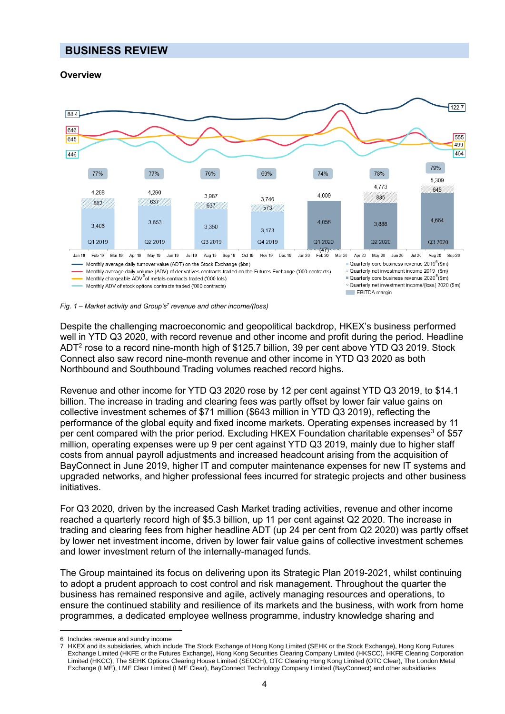# **BUSINESS REVIEW**

#### **Overview** *<sup>6</sup>*





Despite the challenging macroeconomic and geopolitical backdrop, HKEX's business performed well in YTD Q3 2020, with record revenue and other income and profit during the period. Headline ADT<sup>2</sup> rose to a record nine-month high of \$125.7 billion, 39 per cent above YTD Q3 2019. Stock Connect also saw record nine-month revenue and other income in YTD Q3 2020 as both Northbound and Southbound Trading volumes reached record highs.

Revenue and other income for YTD Q3 2020 rose by 12 per cent against YTD Q3 2019, to \$14.1 billion. The increase in trading and clearing fees was partly offset by lower fair value gains on collective investment schemes of \$71 million (\$643 million in YTD Q3 2019), reflecting the performance of the global equity and fixed income markets. Operating expenses increased by 11 per cent compared with the prior period. Excluding HKEX Foundation charitable expenses<sup>3</sup> of \$57 million, operating expenses were up 9 per cent against YTD Q3 2019, mainly due to higher staff costs from annual payroll adjustments and increased headcount arising from the acquisition of BayConnect in June 2019, higher IT and computer maintenance expenses for new IT systems and upgraded networks, and higher professional fees incurred for strategic projects and other business initiatives.

For Q3 2020, driven by the increased Cash Market trading activities, revenue and other income reached a quarterly record high of \$5.3 billion, up 11 per cent against Q2 2020. The increase in trading and clearing fees from higher headline ADT (up 24 per cent from Q2 2020) was partly offset by lower net investment income, driven by lower fair value gains of collective investment schemes and lower investment return of the internally-managed funds.

The Group maintained its focus on delivering upon its Strategic Plan 2019-2021, whilst continuing to adopt a prudent approach to cost control and risk management. Throughout the quarter the business has remained responsive and agile, actively managing resources and operations, to ensure the continued stability and resilience of its markets and the business, with work from home programmes, a dedicated employee wellness programme, industry knowledge sharing and

 $\overline{a}$ 6 Includes revenue and sundry income

<sup>7</sup> HKEX and its subsidiaries, which include The Stock Exchange of Hong Kong Limited (SEHK or the Stock Exchange), Hong Kong Futures Exchange Limited (HKFE or the Futures Exchange), Hong Kong Securities Clearing Company Limited (HKSCC), HKFE Clearing Corporation Limited (HKCC), The SEHK Options Clearing House Limited (SEOCH), OTC Clearing Hong Kong Limited (OTC Clear), The London Metal Exchange (LME), LME Clear Limited (LME Clear), BayConnect Technology Company Limited (BayConnect) and other subsidiaries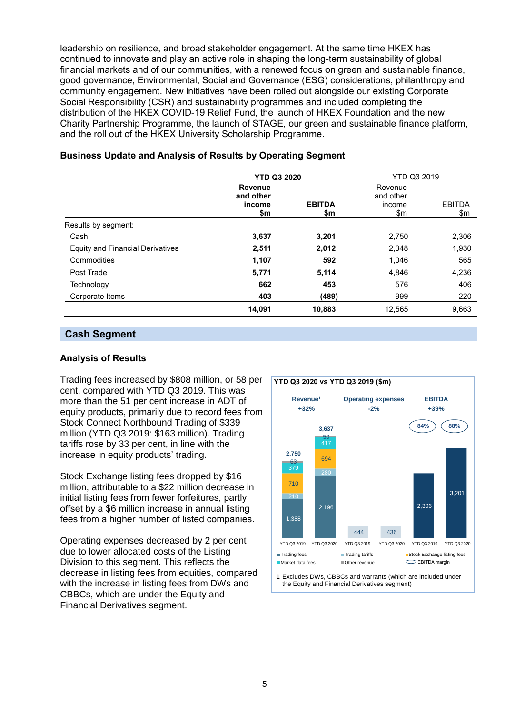leadership on resilience, and broad stakeholder engagement. At the same time HKEX has continued to innovate and play an active role in shaping the long-term sustainability of global financial markets and of our communities, with a renewed focus on green and sustainable finance, good governance, Environmental, Social and Governance (ESG) considerations, philanthropy and community engagement. New initiatives have been rolled out alongside our existing Corporate Social Responsibility (CSR) and sustainability programmes and included completing the distribution of the HKEX COVID-19 Relief Fund, the launch of HKEX Foundation and the new Charity Partnership Programme, the launch of STAGE, our green and sustainable finance platform, and the roll out of the HKEX University Scholarship Programme.

|                                         | <b>YTD Q3 2020</b>                    |                      | YTD Q3 2019                           |                      |
|-----------------------------------------|---------------------------------------|----------------------|---------------------------------------|----------------------|
|                                         | Revenue<br>and other<br>income<br>\$m | <b>EBITDA</b><br>\$m | Revenue<br>and other<br>income<br>\$m | <b>EBITDA</b><br>\$m |
| Results by segment:                     |                                       |                      |                                       |                      |
| Cash                                    | 3,637                                 | 3,201                | 2,750                                 | 2,306                |
| <b>Equity and Financial Derivatives</b> | 2,511                                 | 2,012                | 2,348                                 | 1,930                |
| Commodities                             | 1,107                                 | 592                  | 1,046                                 | 565                  |
| Post Trade                              | 5,771                                 | 5,114                | 4,846                                 | 4,236                |
| Technology                              | 662                                   | 453                  | 576                                   | 406                  |
| Corporate Items                         | 403                                   | (489)                | 999                                   | 220                  |
|                                         | 14,091                                | 10,883               | 12,565                                | 9,663                |

#### **Business Update and Analysis of Results by Operating Segment**

### **Cash Segment**

#### **Analysis of Results**

Trading fees increased by \$808 million, or 58 per cent, compared with YTD Q3 2019. This was more than the 51 per cent increase in ADT of equity products, primarily due to record fees from Stock Connect Northbound Trading of \$339 million (YTD Q3 2019: \$163 million). Trading tariffs rose by 33 per cent, in line with the increase in equity products' trading.

Stock Exchange listing fees dropped by \$16 million, attributable to a \$22 million decrease in initial listing fees from fewer forfeitures, partly offset by a \$6 million increase in annual listing fees from a higher number of listed companies.

Operating expenses decreased by 2 per cent due to lower allocated costs of the Listing Division to this segment. This reflects the decrease in listing fees from equities, compared with the increase in listing fees from DWs and CBBCs, which are under the Equity and Financial Derivatives segment.

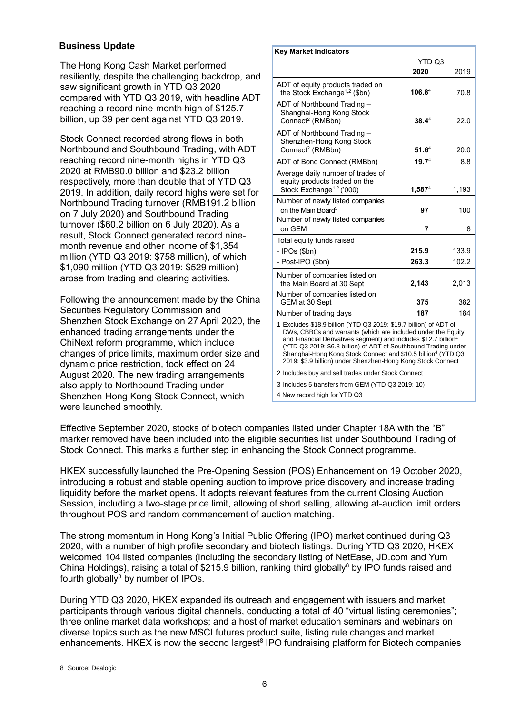The Hong Kong Cash Market performed resiliently, despite the challenging backdrop, and saw significant growth in YTD Q3 2020 compared with YTD Q3 2019, with headline ADT reaching a record nine-month high of \$125.7 billion, up 39 per cent against YTD Q3 2019.

Stock Connect recorded strong flows in both Northbound and Southbound Trading, with ADT reaching record nine-month highs in YTD Q3 2020 at RMB90.0 billion and \$23.2 billion respectively, more than double that of YTD Q3 2019. In addition, daily record highs were set for Northbound Trading turnover (RMB191.2 billion on 7 July 2020) and Southbound Trading turnover (\$60.2 billion on 6 July 2020). As a result, Stock Connect generated record ninemonth revenue and other income of \$1,354 million (YTD Q3 2019: \$758 million), of which \$1,090 million (YTD Q3 2019: \$529 million) arose from trading and clearing activities.

Following the announcement made by the China Securities Regulatory Commission and Shenzhen Stock Exchange on 27 April 2020, the enhanced trading arrangements under the ChiNext reform programme, which include changes of price limits, maximum order size and dynamic price restriction, took effect on 24 August 2020. The new trading arrangements also apply to Northbound Trading under Shenzhen-Hong Kong Stock Connect, which were launched smoothly.

| <b>Key Market Indicators</b>                                                                                                                                                                                                                                                                                                                                                                                                   |                    |       |  |  |
|--------------------------------------------------------------------------------------------------------------------------------------------------------------------------------------------------------------------------------------------------------------------------------------------------------------------------------------------------------------------------------------------------------------------------------|--------------------|-------|--|--|
|                                                                                                                                                                                                                                                                                                                                                                                                                                | YTD Q3             |       |  |  |
|                                                                                                                                                                                                                                                                                                                                                                                                                                | 2020               | 2019  |  |  |
| ADT of equity products traded on<br>the Stock Exchange <sup>1,2</sup> (\$bn)                                                                                                                                                                                                                                                                                                                                                   | 106.8 <sup>4</sup> | 70.8  |  |  |
| ADT of Northbound Trading -<br>Shanghai-Hong Kong Stock<br>Connect <sup>2</sup> (RMBbn)                                                                                                                                                                                                                                                                                                                                        | $38.4^4$           | 22.0  |  |  |
| ADT of Northbound Trading -<br>Shenzhen-Hong Kong Stock<br>Connect <sup>2</sup> (RMBbn)                                                                                                                                                                                                                                                                                                                                        | $51.6^4$           | 20.0  |  |  |
| ADT of Bond Connect (RMBbn)                                                                                                                                                                                                                                                                                                                                                                                                    | 19.7 <sup>4</sup>  | 8.8   |  |  |
| Average daily number of trades of<br>equity products traded on the<br>Stock Exchange <sup>1,2</sup> ('000)                                                                                                                                                                                                                                                                                                                     | $1,587^4$          | 1,193 |  |  |
| Number of newly listed companies<br>on the Main Board <sup>3</sup><br>Number of newly listed companies                                                                                                                                                                                                                                                                                                                         | 97                 | 100   |  |  |
| on GEM                                                                                                                                                                                                                                                                                                                                                                                                                         | 7                  | 8     |  |  |
| Total equity funds raised                                                                                                                                                                                                                                                                                                                                                                                                      |                    |       |  |  |
| - IPOs (\$bn)                                                                                                                                                                                                                                                                                                                                                                                                                  | 215.9              | 133.9 |  |  |
| - Post-IPO (\$bn)                                                                                                                                                                                                                                                                                                                                                                                                              | 263.3              | 102.2 |  |  |
| Number of companies listed on<br>the Main Board at 30 Sept<br>Number of companies listed on                                                                                                                                                                                                                                                                                                                                    | 2,143              | 2,013 |  |  |
| GEM at 30 Sept                                                                                                                                                                                                                                                                                                                                                                                                                 | 375                | 382   |  |  |
| Number of trading days                                                                                                                                                                                                                                                                                                                                                                                                         | 187                | 184   |  |  |
| 1 Excludes \$18.9 billion (YTD Q3 2019: \$19.7 billion) of ADT of<br>DWs, CBBCs and warrants (which are included under the Equity<br>and Financial Derivatives segment) and includes \$12.7 billion <sup>4</sup><br>(YTD Q3 2019: \$6.8 billion) of ADT of Southbound Trading under<br>Shanghai-Hong Kong Stock Connect and \$10.5 billion <sup>4</sup> (YTD Q3<br>2019: \$3.9 billion) under Shenzhen-Hong Kong Stock Connect |                    |       |  |  |
| 2 Includes buy and sell trades under Stock Connect                                                                                                                                                                                                                                                                                                                                                                             |                    |       |  |  |
| 3 Includes 5 transfers from GEM (YTD Q3 2019: 10)                                                                                                                                                                                                                                                                                                                                                                              |                    |       |  |  |
| 4 New record high for YTD Q3                                                                                                                                                                                                                                                                                                                                                                                                   |                    |       |  |  |

Effective September 2020, stocks of biotech companies listed under Chapter 18A with the "B" marker removed have been included into the eligible securities list under Southbound Trading of Stock Connect. This marks a further step in enhancing the Stock Connect programme.

HKEX successfully launched the Pre-Opening Session (POS) Enhancement on 19 October 2020, introducing a robust and stable opening auction to improve price discovery and increase trading liquidity before the market opens. It adopts relevant features from the current Closing Auction Session, including a two-stage price limit, allowing of short selling, allowing at-auction limit orders throughout POS and random commencement of auction matching.

The strong momentum in Hong Kong's Initial Public Offering (IPO) market continued during Q3 2020, with a number of high profile secondary and biotech listings. During YTD Q3 2020, HKEX welcomed 104 listed companies (including the secondary listing of NetEase, JD.com and Yum China Holdings), raising a total of \$215.9 billion, ranking third globally<sup>8</sup> by IPO funds raised and fourth globally $8$  by number of IPOs.

During YTD Q3 2020, HKEX expanded its outreach and engagement with issuers and market participants through various digital channels, conducting a total of 40 "virtual listing ceremonies"; three online market data workshops; and a host of market education seminars and webinars on diverse topics such as the new MSCI futures product suite, listing rule changes and market enhancements. HKEX is now the second largest<sup>8</sup> IPO fundraising platform for Biotech companies

 $\overline{a}$ 

<sup>8</sup> Source: Dealogic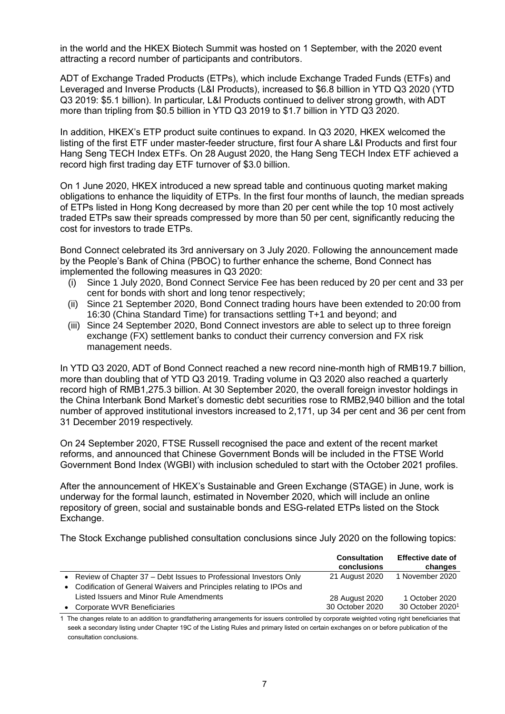in the world and the HKEX Biotech Summit was hosted on 1 September, with the 2020 event attracting a record number of participants and contributors.

ADT of Exchange Traded Products (ETPs), which include Exchange Traded Funds (ETFs) and Leveraged and Inverse Products (L&I Products), increased to \$6.8 billion in YTD Q3 2020 (YTD Q3 2019: \$5.1 billion). In particular, L&I Products continued to deliver strong growth, with ADT more than tripling from \$0.5 billion in YTD Q3 2019 to \$1.7 billion in YTD Q3 2020.

In addition, HKEX's ETP product suite continues to expand. In Q3 2020, HKEX welcomed the listing of the first ETF under master-feeder structure, first four A share L&I Products and first four Hang Seng TECH Index ETFs. On 28 August 2020, the Hang Seng TECH Index ETF achieved a record high first trading day ETF turnover of \$3.0 billion.

On 1 June 2020, HKEX introduced a new spread table and continuous quoting market making obligations to enhance the liquidity of ETPs. In the first four months of launch, the median spreads of ETPs listed in Hong Kong decreased by more than 20 per cent while the top 10 most actively traded ETPs saw their spreads compressed by more than 50 per cent, significantly reducing the cost for investors to trade ETPs.

Bond Connect celebrated its 3rd anniversary on 3 July 2020. Following the announcement made by the People's Bank of China (PBOC) to further enhance the scheme, Bond Connect has implemented the following measures in Q3 2020:

- (i) Since 1 July 2020, Bond Connect Service Fee has been reduced by 20 per cent and 33 per cent for bonds with short and long tenor respectively;
- (ii) Since 21 September 2020, Bond Connect trading hours have been extended to 20:00 from 16:30 (China Standard Time) for transactions settling T+1 and beyond; and
- (iii) Since 24 September 2020, Bond Connect investors are able to select up to three foreign exchange (FX) settlement banks to conduct their currency conversion and FX risk management needs.

In YTD Q3 2020, ADT of Bond Connect reached a new record nine-month high of RMB19.7 billion, more than doubling that of YTD Q3 2019. Trading volume in Q3 2020 also reached a quarterly record high of RMB1,275.3 billion. At 30 September 2020, the overall foreign investor holdings in the China Interbank Bond Market's domestic debt securities rose to RMB2,940 billion and the total number of approved institutional investors increased to 2,171, up 34 per cent and 36 per cent from 31 December 2019 respectively.

On 24 September 2020, FTSE Russell recognised the pace and extent of the recent market reforms, and announced that Chinese Government Bonds will be included in the FTSE World Government Bond Index (WGBI) with inclusion scheduled to start with the October 2021 profiles.

After the announcement of HKEX's Sustainable and Green Exchange (STAGE) in June, work is underway for the formal launch, estimated in November 2020, which will include an online repository of green, social and sustainable bonds and ESG-related ETPs listed on the Stock Exchange.

The Stock Exchange published consultation conclusions since July 2020 on the following topics:

|                                                                       | <b>Consultation</b><br>conclusions | <b>Effective date of</b><br>changes |
|-----------------------------------------------------------------------|------------------------------------|-------------------------------------|
| • Review of Chapter 37 – Debt Issues to Professional Investors Only   | 21 August 2020                     | 1 November 2020                     |
| • Codification of General Waivers and Principles relating to IPOs and |                                    |                                     |
| Listed Issuers and Minor Rule Amendments                              | 28 August 2020                     | 1 October 2020                      |
| Corporate WVR Beneficiaries                                           | 30 October 2020                    | 30 October 2020 <sup>1</sup>        |

1 The changes relate to an addition to grandfathering arrangements for issuers controlled by corporate weighted voting right beneficiaries that seek a secondary listing under Chapter 19C of the Listing Rules and primary listed on certain exchanges on or before publication of the consultation conclusions.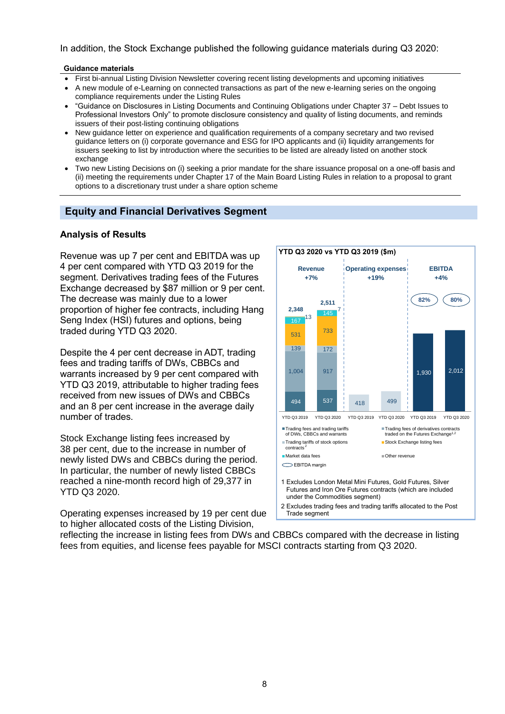In addition, the Stock Exchange published the following guidance materials during Q3 2020:

#### **Guidance materials**

- First bi-annual Listing Division Newsletter covering recent listing developments and upcoming initiatives
- A new module of e-Learning on connected transactions as part of the new e-learning series on the ongoing compliance requirements under the Listing Rules
- "Guidance on Disclosures in Listing Documents and Continuing Obligations under Chapter 37 Debt Issues to Professional Investors Only" to promote disclosure consistency and quality of listing documents, and reminds issuers of their post-listing continuing obligations
- New guidance letter on experience and qualification requirements of a company secretary and two revised guidance letters on (i) corporate governance and ESG for IPO applicants and (ii) liquidity arrangements for issuers seeking to list by introduction where the securities to be listed are already listed on another stock exchange
- Two new Listing Decisions on (i) seeking a prior mandate for the share issuance proposal on a one-off basis and (ii) meeting the requirements under Chapter 17 of the Main Board Listing Rules in relation to a proposal to grant options to a discretionary trust under a share option scheme

### **Equity and Financial Derivatives Segment**

#### **Analysis of Results**

Revenue was up 7 per cent and EBITDA was up 4 per cent compared with YTD Q3 2019 for the segment. Derivatives trading fees of the Futures Exchange decreased by \$87 million or 9 per cent. The decrease was mainly due to a lower proportion of higher fee contracts, including Hang Seng Index (HSI) futures and options, being traded during YTD Q3 2020.

Despite the 4 per cent decrease in ADT, trading fees and trading tariffs of DWs, CBBCs and warrants increased by 9 per cent compared with YTD Q3 2019, attributable to higher trading fees received from new issues of DWs and CBBCs and an 8 per cent increase in the average daily number of trades.

Stock Exchange listing fees increased by 38 per cent, due to the increase in number of newly listed DWs and CBBCs during the period. In particular, the number of newly listed CBBCs reached a nine-month record high of 29,377 in YTD Q3 2020.

Operating expenses increased by 19 per cent due to higher allocated costs of the Listing Division,



2 Excludes trading fees and trading tariffs allocated to the Post Trade segment

reflecting the increase in listing fees from DWs and CBBCs compared with the decrease in listing fees from equities, and license fees payable for MSCI contracts starting from Q3 2020.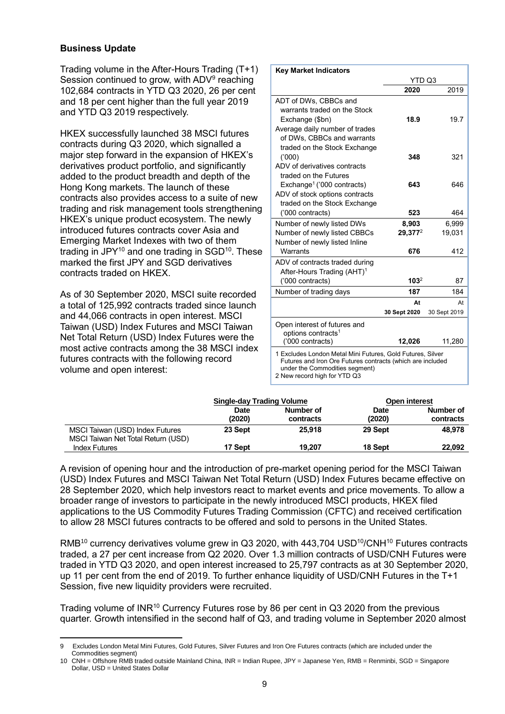$\overline{a}$ 

Trading volume in the After-Hours Trading (T+1) Session continued to grow, with ADV $^{\rm 9}$  reaching 102,684 contracts in YTD Q3 2020, 26 per cent and 18 per cent higher than the full year 2019 and YTD Q3 2019 respectively.

HKEX successfully launched 38 MSCI futures contracts during Q3 2020, which signalled a major step forward in the expansion of HKEX's derivatives product portfolio, and significantly added to the product breadth and depth of the Hong Kong markets. The launch of these contracts also provides access to a suite of new trading and risk management tools strengthening HKEX's unique product ecosystem. The newly introduced futures contracts cover Asia and Emerging Market Indexes with two of them trading in JPY $^{10}$  and one trading in SGD $^{10}$ . These marked the first JPY and SGD derivatives contracts traded on HKEX.

As of 30 September 2020, MSCI suite recorded a total of 125,992 contracts traded since launch and 44,066 contracts in open interest. MSCI Taiwan (USD) Index Futures and MSCI Taiwan Net Total Return (USD) Index Futures were the most active contracts among the 38 MSCI index futures contracts with the following record volume and open interest:

| <b>Key Market Indicators</b>                                                                                                                                                               |              |              |
|--------------------------------------------------------------------------------------------------------------------------------------------------------------------------------------------|--------------|--------------|
|                                                                                                                                                                                            | YTD Q3       |              |
|                                                                                                                                                                                            | 2020         | 2019         |
| ADT of DWs, CBBCs and                                                                                                                                                                      |              |              |
| warrants traded on the Stock                                                                                                                                                               |              |              |
| Exchange (\$bn)                                                                                                                                                                            | 18.9         | 19.7         |
| Average daily number of trades                                                                                                                                                             |              |              |
| of DWs, CBBCs and warrants                                                                                                                                                                 |              |              |
| traded on the Stock Exchange                                                                                                                                                               |              |              |
| (000)                                                                                                                                                                                      | 348          | 321          |
| ADV of derivatives contracts                                                                                                                                                               |              |              |
| traded on the Futures                                                                                                                                                                      |              |              |
| Exchange <sup>1</sup> ('000 contracts)                                                                                                                                                     | 643          | 646          |
| ADV of stock options contracts                                                                                                                                                             |              |              |
| traded on the Stock Exchange                                                                                                                                                               |              |              |
| ('000 contracts)                                                                                                                                                                           | 523          | 464          |
| Number of newly listed DWs                                                                                                                                                                 | 8,903        | 6,999        |
| Number of newly listed CBBCs                                                                                                                                                               | 29,3772      | 19.031       |
| Number of newly listed Inline                                                                                                                                                              |              |              |
| Warrants                                                                                                                                                                                   | 676          | 412          |
| ADV of contracts traded during                                                                                                                                                             |              |              |
| After-Hours Trading (AHT) <sup>1</sup>                                                                                                                                                     |              |              |
| ('000 contracts)                                                                                                                                                                           | $103^2$      | 87           |
| Number of trading days                                                                                                                                                                     | 187          | 184          |
|                                                                                                                                                                                            | At           | At           |
|                                                                                                                                                                                            | 30 Sept 2020 | 30 Sept 2019 |
| Open interest of futures and                                                                                                                                                               |              |              |
| options contracts <sup>1</sup>                                                                                                                                                             |              |              |
| ('000 contracts)                                                                                                                                                                           | 12,026       | 11,280       |
| 1 Excludes London Metal Mini Futures, Gold Futures, Silver<br>Futures and Iron Ore Futures contracts (which are included<br>under the Commodities segment)<br>2 New record high for YTD Q3 |              |              |

|                                    | <b>Single-day Trading Volume</b> |           |             | Open interest |
|------------------------------------|----------------------------------|-----------|-------------|---------------|
|                                    | <b>Date</b>                      | Number of | <b>Date</b> | Number of     |
|                                    | (2020)                           | contracts | (2020)      | contracts     |
| MSCI Taiwan (USD) Index Futures    | 23 Sept                          | 25.918    | 29 Sept     | 48.978        |
| MSCI Taiwan Net Total Return (USD) |                                  |           |             |               |
| <b>Index Futures</b>               | 17 Sept                          | 19.207    | 18 Sept     | 22.092        |

A revision of opening hour and the introduction of pre-market opening period for the MSCI Taiwan (USD) Index Futures and MSCI Taiwan Net Total Return (USD) Index Futures became effective on 28 September 2020, which help investors react to market events and price movements. To allow a broader range of investors to participate in the newly introduced MSCI products, HKEX filed applications to the US Commodity Futures Trading Commission (CFTC) and received certification to allow 28 MSCI futures contracts to be offered and sold to persons in the United States.

RMB<sup>10</sup> currency derivatives volume grew in Q3 2020, with 443,704 USD<sup>10</sup>/CNH<sup>10</sup> Futures contracts traded, a 27 per cent increase from Q2 2020. Over 1.3 million contracts of USD/CNH Futures were traded in YTD Q3 2020, and open interest increased to 25,797 contracts as at 30 September 2020, up 11 per cent from the end of 2019. To further enhance liquidity of USD/CNH Futures in the T+1 Session, five new liquidity providers were recruited.

Trading volume of INR<sup>10</sup> Currency Futures rose by 86 per cent in Q3 2020 from the previous quarter. Growth intensified in the second half of Q3, and trading volume in September 2020 almost

Excludes London Metal Mini Futures, Gold Futures, Silver Futures and Iron Ore Futures contracts (which are included under the Commodities segment)

<sup>10</sup> CNH = Offshore RMB traded outside Mainland China, INR = Indian Rupee, JPY = Japanese Yen, RMB = Renminbi, SGD = Singapore Dollar, USD = United States Dollar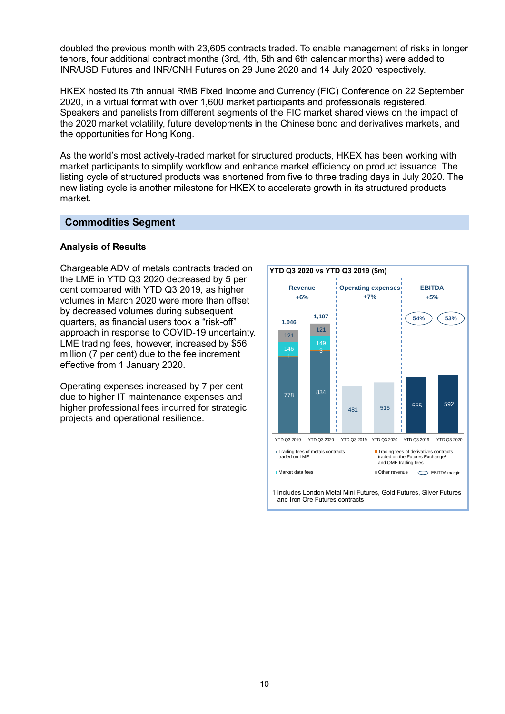doubled the previous month with 23,605 contracts traded. To enable management of risks in longer tenors, four additional contract months (3rd, 4th, 5th and 6th calendar months) were added to INR/USD Futures and INR/CNH Futures on 29 June 2020 and 14 July 2020 respectively.

HKEX hosted its 7th annual RMB Fixed Income and Currency (FIC) Conference on 22 September 2020, in a virtual format with over 1,600 market participants and professionals registered. Speakers and panelists from different segments of the FIC market shared views on the impact of the 2020 market volatility, future developments in the Chinese bond and derivatives markets, and the opportunities for Hong Kong.

As the world's most actively-traded market for structured products, HKEX has been working with market participants to simplify workflow and enhance market efficiency on product issuance. The listing cycle of structured products was shortened from five to three trading days in July 2020. The new listing cycle is another milestone for HKEX to accelerate growth in its structured products market.

#### **Commodities Segment**

#### **Analysis of Results**

Chargeable ADV of metals contracts traded on the LME in YTD Q3 2020 decreased by 5 per cent compared with YTD Q3 2019, as higher volumes in March 2020 were more than offset by decreased volumes during subsequent quarters, as financial users took a "risk-off" approach in response to COVID-19 uncertainty. LME trading fees, however, increased by \$56 million (7 per cent) due to the fee increment effective from 1 January 2020.

Operating expenses increased by 7 per cent due to higher IT maintenance expenses and higher professional fees incurred for strategic projects and operational resilience.

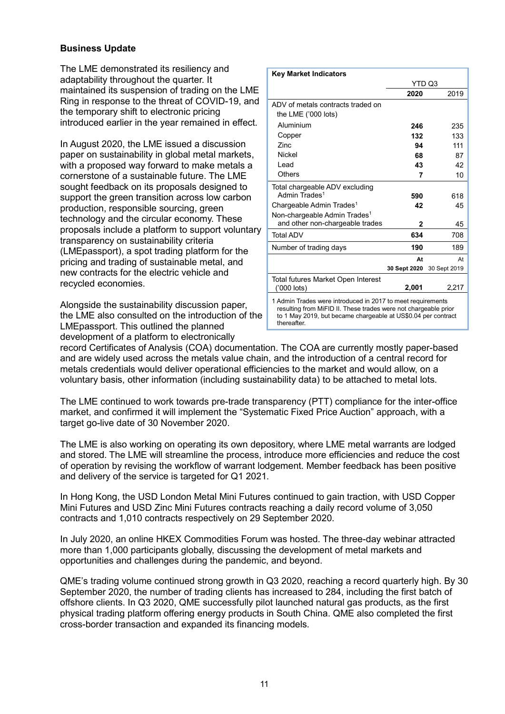The LME demonstrated its resiliency and adaptability throughout the quarter. It maintained its suspension of trading on the LME Ring in response to the threat of COVID-19, and the temporary shift to electronic pricing introduced earlier in the year remained in effect.

In August 2020, the LME issued a discussion paper on sustainability in global metal markets, with a proposed way forward to make metals a cornerstone of a sustainable future. The LME sought feedback on its proposals designed to support the green transition across low carbon production, responsible sourcing, green technology and the circular economy. These proposals include a platform to support voluntary transparency on sustainability criteria (LMEpassport), a spot trading platform for the pricing and trading of sustainable metal, and new contracts for the electric vehicle and recycled economies.

Alongside the sustainability discussion paper, the LME also consulted on the introduction of the LMEpassport. This outlined the planned development of a platform to electronically

| <b>Key Market Indicators</b>             |              |              |
|------------------------------------------|--------------|--------------|
|                                          | YTD Q3       |              |
|                                          | 2020         | 2019         |
| ADV of metals contracts traded on        |              |              |
| the LME ('000 lots)                      |              |              |
| Aluminium                                | 246          | 235          |
| Copper                                   | 132          | 133          |
| <b>Zinc</b>                              | 94           | 111          |
| <b>Nickel</b>                            | 68           | 87           |
| I ead                                    | 43           | 42           |
| Others                                   | 7            | 10           |
| Total chargeable ADV excluding           |              |              |
| Admin Trades <sup>1</sup>                | 590          | 618          |
| Chargeable Admin Trades <sup>1</sup>     | 42           | 45           |
| Non-chargeable Admin Trades <sup>1</sup> |              |              |
| and other non-chargeable trades          | 2            | 45           |
| <b>Total ADV</b>                         | 634          | 708          |
| Number of trading days                   | 190          | 189          |
|                                          | At           | At           |
|                                          | 30 Sept 2020 | 30 Sept 2019 |
| Total futures Market Open Interest       |              |              |
| ('000 lots)                              | 2,001        | 2,217        |
|                                          |              |              |

1 Admin Trades were introduced in 2017 to meet requirements resulting from MiFID II. These trades were not chargeable prior to 1 May 2019, but became chargeable at US\$0.04 per contract thereafter.

record Certificates of Analysis (COA) documentation. The COA are currently mostly paper-based and are widely used across the metals value chain, and the introduction of a central record for metals credentials would deliver operational efficiencies to the market and would allow, on a voluntary basis, other information (including sustainability data) to be attached to metal lots.

The LME continued to work towards pre-trade transparency (PTT) compliance for the inter-office market, and confirmed it will implement the "Systematic Fixed Price Auction" approach, with a target go-live date of 30 November 2020.

The LME is also working on operating its own depository, where LME metal warrants are lodged and stored. The LME will streamline the process, introduce more efficiencies and reduce the cost of operation by revising the workflow of warrant lodgement. Member feedback has been positive and delivery of the service is targeted for Q1 2021.

In Hong Kong, the USD London Metal Mini Futures continued to gain traction, with USD Copper Mini Futures and USD Zinc Mini Futures contracts reaching a daily record volume of 3,050 contracts and 1,010 contracts respectively on 29 September 2020.

In July 2020, an online HKEX Commodities Forum was hosted. The three-day webinar attracted more than 1,000 participants globally, discussing the development of metal markets and opportunities and challenges during the pandemic, and beyond.

QME's trading volume continued strong growth in Q3 2020, reaching a record quarterly high. By 30 September 2020, the number of trading clients has increased to 284, including the first batch of offshore clients. In Q3 2020, QME successfully pilot launched natural gas products, as the first physical trading platform offering energy products in South China. QME also completed the first cross-border transaction and expanded its financing models.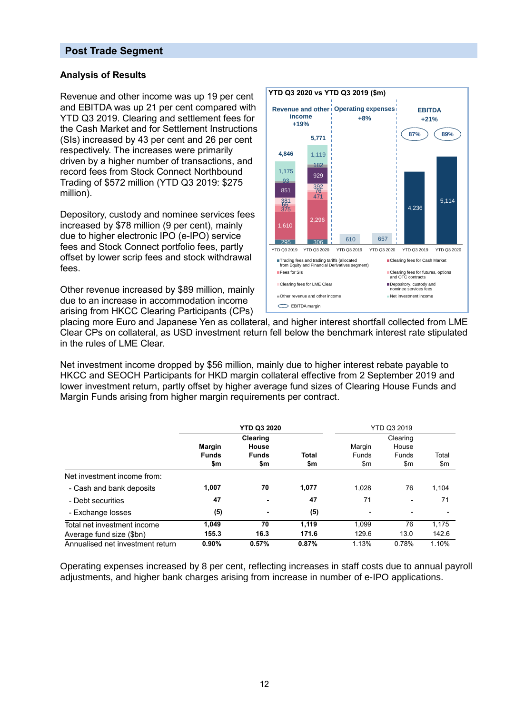#### **Post Trade Segment**

#### **Analysis of Results**

Revenue and other income was up 19 per cent and EBITDA was up 21 per cent compared with YTD Q3 2019. Clearing and settlement fees for the Cash Market and for Settlement Instructions (SIs) increased by 43 per cent and 26 per cent respectively. The increases were primarily driven by a higher number of transactions, and record fees from Stock Connect Northbound Trading of \$572 million (YTD Q3 2019: \$275 million).

Depository, custody and nominee services fees increased by \$78 million (9 per cent), mainly due to higher electronic IPO (e-IPO) service fees and Stock Connect portfolio fees, partly offset by lower scrip fees and stock withdrawal fees.

Other revenue increased by \$89 million, mainly due to an increase in accommodation income arising from HKCC Clearing Participants (CPs)



placing more Euro and Japanese Yen as collateral, and higher interest shortfall collected from LME Clear CPs on collateral, as USD investment return fell below the benchmark interest rate stipulated in the rules of LME Clear.

Net investment income dropped by \$56 million, mainly due to higher interest rebate payable to HKCC and SEOCH Participants for HKD margin collateral effective from 2 September 2019 and lower investment return, partly offset by higher average fund sizes of Clearing House Funds and Margin Funds arising from higher margin requirements per contract.

|                                  | <b>YTD Q3 2020</b>                   |                                          |                     | <b>YTD Q3 2019</b>            |                                   |              |
|----------------------------------|--------------------------------------|------------------------------------------|---------------------|-------------------------------|-----------------------------------|--------------|
|                                  | <b>Margin</b><br><b>Funds</b><br>\$m | Clearing<br>House<br><b>Funds</b><br>\$m | <b>Total</b><br>\$m | Margin<br><b>Funds</b><br>\$m | Clearing<br>House<br>Funds<br>\$m | Total<br>\$m |
| Net investment income from:      |                                      |                                          |                     |                               |                                   |              |
| - Cash and bank deposits         | 1,007                                | 70                                       | 1,077               | 1,028                         | 76                                | 1,104        |
| - Debt securities                | 47                                   |                                          | 47                  | 71                            | $\blacksquare$                    | 71           |
| - Exchange losses                | (5)                                  | ۰                                        | (5)                 | $\overline{\phantom{a}}$      | $\overline{\phantom{a}}$          |              |
| Total net investment income      | 1.049                                | 70                                       | 1.119               | 1.099                         | 76                                | 1,175        |
| Average fund size (\$bn)         | 155.3                                | 16.3                                     | 171.6               | 129.6                         | 13.0                              | 142.6        |
| Annualised net investment return | 0.90%                                | 0.57%                                    | 0.87%               | 1.13%                         | 0.78%                             | 1.10%        |

Operating expenses increased by 8 per cent, reflecting increases in staff costs due to annual payroll adjustments, and higher bank charges arising from increase in number of e-IPO applications.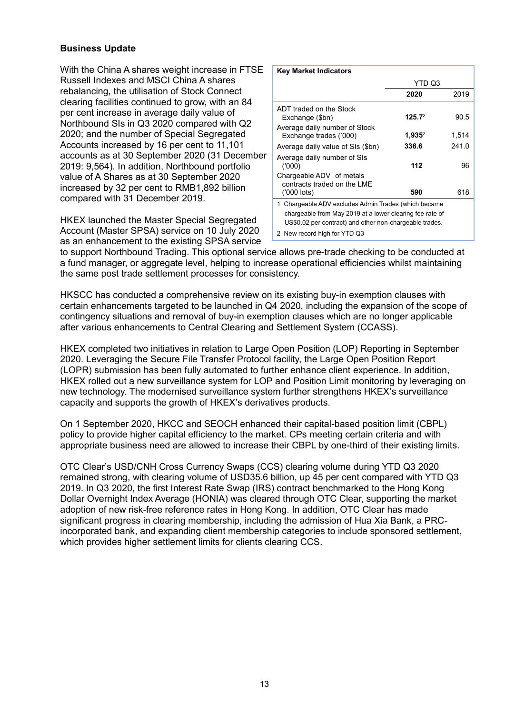With the China A shares weight increase in FTSE Russell Indexes and MSCI China A shares rebalancing, the utilisation of Stock Connect clearing facilities continued to grow, with an 84 per cent increase in average daily value of Northbound SIs in Q3 2020 compared with Q2 2020; and the number of Special Segregated Accounts increased by 16 per cent to 11,101 accounts as at 30 September 2020 (31 December 2019: 9,564). In addition, Northbound portfolio value of A Shares as at 30 September 2020 increased by 32 per cent to RMB1,892 billion compared with 31 December 2019.

HKEX launched the Master Special Segregated Account (Master SPSA) service on 10 July 2020 as an enhancement to the existing SPSA service

| <b>Key Market Indicators</b>                                                                                                                                                |                    |       |  |  |
|-----------------------------------------------------------------------------------------------------------------------------------------------------------------------------|--------------------|-------|--|--|
|                                                                                                                                                                             | YTD Q3             |       |  |  |
|                                                                                                                                                                             | 2020               | 2019  |  |  |
| ADT traded on the Stock<br>Exchange (\$bn)                                                                                                                                  | 125.7 <sup>2</sup> | 90.5  |  |  |
| Average daily number of Stock<br>Exchange trades ('000)                                                                                                                     | $1,935^2$          | 1,514 |  |  |
| Average daily value of SIs (\$bn)                                                                                                                                           | 336.6              | 241.0 |  |  |
| Average daily number of SIs<br>(1000)                                                                                                                                       | 112                | 96    |  |  |
| Chargeable $ADV1$ of metals<br>contracts traded on the LME                                                                                                                  |                    |       |  |  |
| ('000 lots)                                                                                                                                                                 | 590                | 618   |  |  |
| 1 Chargeable ADV excludes Admin Trades (which became<br>chargeable from May 2019 at a lower clearing fee rate of<br>US\$0.02 per contract) and other non-chargeable trades. |                    |       |  |  |
| 2 New record high for YTD Q3                                                                                                                                                |                    |       |  |  |

to support Northbound Trading. This optional service allows pre-trade checking to be conducted at a fund manager, or aggregate level, helping to increase operational efficiencies whilst maintaining the same post trade settlement processes for consistency.

HKSCC has conducted a comprehensive review on its existing buy-in exemption clauses with certain enhancements targeted to be launched in Q4 2020, including the expansion of the scope of contingency situations and removal of buy-in exemption clauses which are no longer applicable after various enhancements to Central Clearing and Settlement System (CCASS).

HKEX completed two initiatives in relation to Large Open Position (LOP) Reporting in September 2020. Leveraging the Secure File Transfer Protocol facility, the Large Open Position Report (LOPR) submission has been fully automated to further enhance client experience. In addition, HKEX rolled out a new surveillance system for LOP and Position Limit monitoring by leveraging on new technology. The modernised surveillance system further strengthens HKEX's surveillance capacity and supports the growth of HKEX's derivatives products.

On 1 September 2020, HKCC and SEOCH enhanced their capital-based position limit (CBPL) policy to provide higher capital efficiency to the market. CPs meeting certain criteria and with appropriate business need are allowed to increase their CBPL by one-third of their existing limits.

OTC Clear's USD/CNH Cross Currency Swaps (CCS) clearing volume during YTD Q3 2020 remained strong, with clearing volume of USD35.6 billion, up 45 per cent compared with YTD Q3 2019. In Q3 2020, the first Interest Rate Swap (IRS) contract benchmarked to the Hong Kong Dollar Overnight Index Average (HONIA) was cleared through OTC Clear, supporting the market adoption of new risk-free reference rates in Hong Kong. In addition, OTC Clear has made significant progress in clearing membership, including the admission of Hua Xia Bank, a PRCincorporated bank, and expanding client membership categories to include sponsored settlement, which provides higher settlement limits for clients clearing CCS.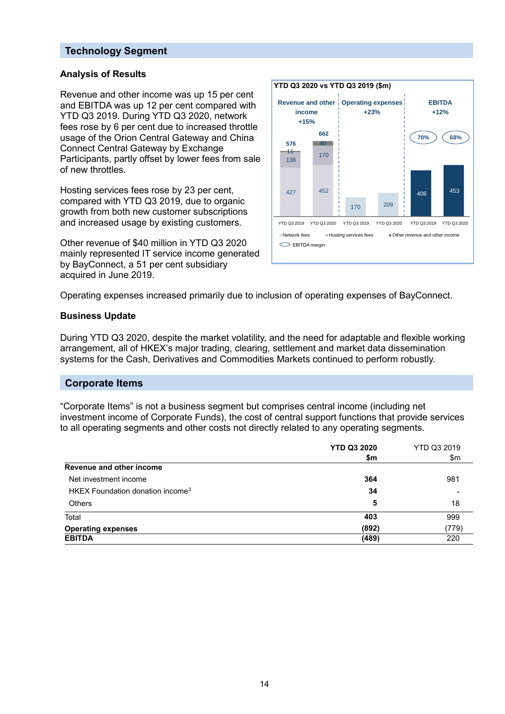### **Technology Segment**

#### **Analysis of Results**

Revenue and other income was up 15 per cent and EBITDA was up 12 per cent compared with YTD Q3 2019. During YTD Q3 2020, network fees rose by 6 per cent due to increased throttle usage of the Orion Central Gateway and China Connect Central Gateway by Exchange Participants, partly offset by lower fees from sale of new throttles.

Hosting services fees rose by 23 per cent, compared with YTD Q3 2019, due to organic growth from both new customer subscriptions and increased usage by existing customers.

Other revenue of \$40 million in YTD Q3 2020 mainly represented IT service income generated by BayConnect, a 51 per cent subsidiary acquired in June 2019.



Operating expenses increased primarily due to inclusion of operating expenses of BayConnect.

#### **Business Update**

During YTD Q3 2020, despite the market volatility, and the need for adaptable and flexible working arrangement, all of HKEX's major trading, clearing, settlement and market data dissemination systems for the Cash, Derivatives and Commodities Markets continued to perform robustly.

#### **Corporate Items**

"Corporate Items" is not a business segment but comprises central income (including net investment income of Corporate Funds), the cost of central support functions that provide services to all operating segments and other costs not directly related to any operating segments.

|                                              | <b>YTD Q3 2020</b><br>\$m | YTD Q3 2019<br>\$m |
|----------------------------------------------|---------------------------|--------------------|
| Revenue and other income                     |                           |                    |
| Net investment income                        | 364                       | 981                |
| HKEX Foundation donation income <sup>3</sup> | 34                        |                    |
| <b>Others</b>                                | 5                         | 18                 |
| Total                                        | 403                       | 999                |
| <b>Operating expenses</b>                    | (892)                     | (779)              |
| <b>EBITDA</b>                                | (489)                     | 220                |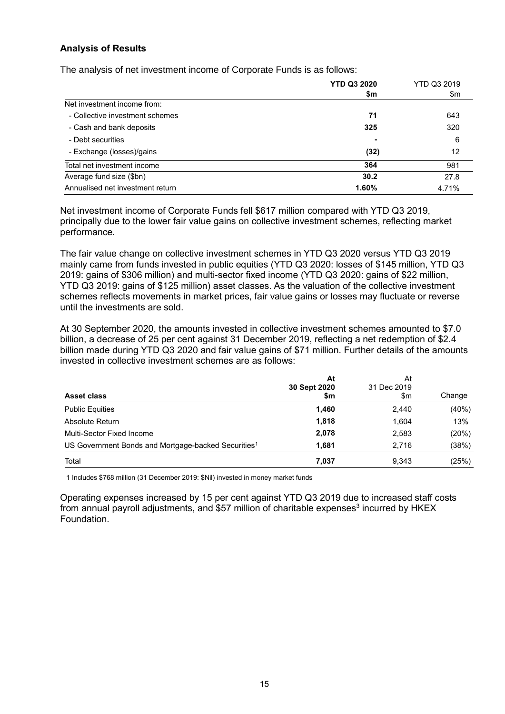#### **Analysis of Results**

The analysis of net investment income of Corporate Funds is as follows:

|                                  | <b>YTD Q3 2020</b><br>\$m | YTD Q3 2019<br>\$m |
|----------------------------------|---------------------------|--------------------|
| Net investment income from:      |                           |                    |
| - Collective investment schemes  | 71                        | 643                |
| - Cash and bank deposits         | 325                       | 320                |
| - Debt securities                |                           | 6                  |
| - Exchange (losses)/gains        | (32)                      | 12                 |
| Total net investment income      | 364                       | 981                |
| Average fund size (\$bn)         | 30.2                      | 27.8               |
| Annualised net investment return | 1.60%                     | 4.71%              |

Net investment income of Corporate Funds fell \$617 million compared with YTD Q3 2019, principally due to the lower fair value gains on collective investment schemes, reflecting market performance.

The fair value change on collective investment schemes in YTD Q3 2020 versus YTD Q3 2019 mainly came from funds invested in public equities (YTD Q3 2020: losses of \$145 million, YTD Q3 2019: gains of \$306 million) and multi-sector fixed income (YTD Q3 2020: gains of \$22 million, YTD Q3 2019: gains of \$125 million) asset classes. As the valuation of the collective investment schemes reflects movements in market prices, fair value gains or losses may fluctuate or reverse until the investments are sold.

At 30 September 2020, the amounts invested in collective investment schemes amounted to \$7.0 billion, a decrease of 25 per cent against 31 December 2019, reflecting a net redemption of \$2.4 billion made during YTD Q3 2020 and fair value gains of \$71 million. Further details of the amounts invested in collective investment schemes are as follows:

| <b>Asset class</b>                                              | At<br>30 Sept 2020<br>\$m | At<br>31 Dec 2019<br>\$m | Change |
|-----------------------------------------------------------------|---------------------------|--------------------------|--------|
| <b>Public Equities</b>                                          | 1,460                     | 2,440                    | (40%)  |
| Absolute Return                                                 | 1,818                     | 1,604                    | 13%    |
| Multi-Sector Fixed Income                                       | 2,078                     | 2,583                    | (20%)  |
| US Government Bonds and Mortgage-backed Securities <sup>1</sup> | 1,681                     | 2,716                    | (38%)  |
| Total                                                           | 7,037                     | 9,343                    | (25%)  |

1 Includes \$768 million (31 December 2019: \$Nil) invested in money market funds

Operating expenses increased by 15 per cent against YTD Q3 2019 due to increased staff costs from annual payroll adjustments, and \$57 million of charitable expenses $^3$  incurred by <code>HKEX</code> Foundation.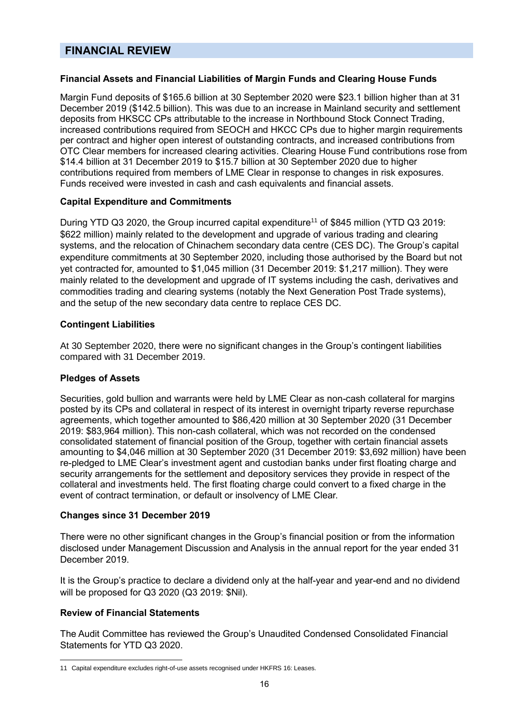# **FINANCIAL REVIEW**

#### **Financial Assets and Financial Liabilities of Margin Funds and Clearing House Funds**

Margin Fund deposits of \$165.6 billion at 30 September 2020 were \$23.1 billion higher than at 31 December 2019 (\$142.5 billion). This was due to an increase in Mainland security and settlement deposits from HKSCC CPs attributable to the increase in Northbound Stock Connect Trading, increased contributions required from SEOCH and HKCC CPs due to higher margin requirements per contract and higher open interest of outstanding contracts, and increased contributions from OTC Clear members for increased clearing activities. Clearing House Fund contributions rose from \$14.4 billion at 31 December 2019 to \$15.7 billion at 30 September 2020 due to higher contributions required from members of LME Clear in response to changes in risk exposures. Funds received were invested in cash and cash equivalents and financial assets.

#### **Capital Expenditure and Commitments**

During YTD Q3 2020, the Group incurred capital expenditure<sup>11</sup> of \$845 million (YTD Q3 2019: \$622 million) mainly related to the development and upgrade of various trading and clearing systems, and the relocation of Chinachem secondary data centre (CES DC). The Group's capital expenditure commitments at 30 September 2020, including those authorised by the Board but not yet contracted for, amounted to \$1,045 million (31 December 2019: \$1,217 million). They were mainly related to the development and upgrade of IT systems including the cash, derivatives and commodities trading and clearing systems (notably the Next Generation Post Trade systems), and the setup of the new secondary data centre to replace CES DC.

#### **Contingent Liabilities**

At 30 September 2020, there were no significant changes in the Group's contingent liabilities compared with 31 December 2019.

#### **Pledges of Assets**

Securities, gold bullion and warrants were held by LME Clear as non-cash collateral for margins posted by its CPs and collateral in respect of its interest in overnight triparty reverse repurchase agreements, which together amounted to \$86,420 million at 30 September 2020 (31 December 2019: \$83,964 million). This non-cash collateral, which was not recorded on the condensed consolidated statement of financial position of the Group, together with certain financial assets amounting to \$4,046 million at 30 September 2020 (31 December 2019: \$3,692 million) have been re-pledged to LME Clear's investment agent and custodian banks under first floating charge and security arrangements for the settlement and depository services they provide in respect of the collateral and investments held. The first floating charge could convert to a fixed charge in the event of contract termination, or default or insolvency of LME Clear.

#### **Changes since 31 December 2019**

There were no other significant changes in the Group's financial position or from the information disclosed under Management Discussion and Analysis in the annual report for the year ended 31 December 2019.

It is the Group's practice to declare a dividend only at the half-year and year-end and no dividend will be proposed for Q3 2020 (Q3 2019: \$Nil).

#### **Review of Financial Statements**

 $\overline{a}$ 

The Audit Committee has reviewed the Group's Unaudited Condensed Consolidated Financial Statements for YTD Q3 2020.

<sup>11</sup> Capital expenditure excludes right-of-use assets recognised under HKFRS 16: Leases.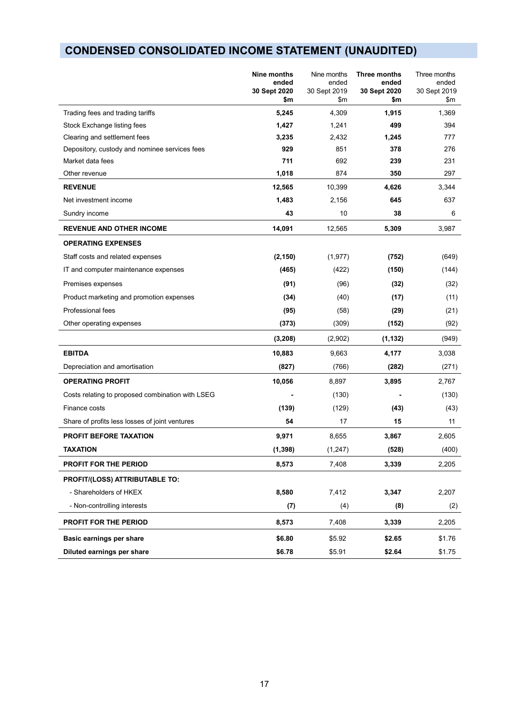# **CONDENSED CONSOLIDATED INCOME STATEMENT (UNAUDITED)**

|                                                  | Nine months<br>ended | Nine months<br>ended | Three months<br>ended | Three months<br>ended |
|--------------------------------------------------|----------------------|----------------------|-----------------------|-----------------------|
|                                                  | 30 Sept 2020<br>\$m  | 30 Sept 2019<br>\$m  | 30 Sept 2020<br>\$m   | 30 Sept 2019<br>\$m   |
| Trading fees and trading tariffs                 | 5,245                | 4,309                | 1,915                 | 1,369                 |
| Stock Exchange listing fees                      | 1,427                | 1,241                | 499                   | 394                   |
| Clearing and settlement fees                     | 3,235                | 2,432                | 1,245                 | 777                   |
| Depository, custody and nominee services fees    | 929                  | 851                  | 378                   | 276                   |
| Market data fees                                 | 711                  | 692                  | 239                   | 231                   |
| Other revenue                                    | 1,018                | 874                  | 350                   | 297                   |
| <b>REVENUE</b>                                   | 12,565               | 10,399               | 4,626                 | 3,344                 |
| Net investment income                            | 1,483                | 2,156                | 645                   | 637                   |
| Sundry income                                    | 43                   | 10                   | 38                    | 6                     |
| <b>REVENUE AND OTHER INCOME</b>                  | 14,091               | 12,565               | 5,309                 | 3,987                 |
| <b>OPERATING EXPENSES</b>                        |                      |                      |                       |                       |
| Staff costs and related expenses                 | (2, 150)             | (1, 977)             | (752)                 | (649)                 |
| IT and computer maintenance expenses             | (465)                | (422)                | (150)                 | (144)                 |
| Premises expenses                                | (91)                 | (96)                 | (32)                  | (32)                  |
| Product marketing and promotion expenses         | (34)                 | (40)                 | (17)                  | (11)                  |
| Professional fees                                | (95)                 | (58)                 | (29)                  | (21)                  |
| Other operating expenses                         | (373)                | (309)                | (152)                 | (92)                  |
|                                                  | (3, 208)             | (2,902)              | (1, 132)              | (949)                 |
| <b>EBITDA</b>                                    | 10,883               | 9,663                | 4,177                 | 3,038                 |
| Depreciation and amortisation                    | (827)                | (766)                | (282)                 | (271)                 |
| <b>OPERATING PROFIT</b>                          | 10,056               | 8,897                | 3,895                 | 2,767                 |
| Costs relating to proposed combination with LSEG |                      | (130)                |                       | (130)                 |
| Finance costs                                    | (139)                | (129)                | (43)                  | (43)                  |
| Share of profits less losses of joint ventures   | 54                   | 17                   | 15                    | 11                    |
| <b>PROFIT BEFORE TAXATION</b>                    | 9,971                | 8,655                | 3,867                 | 2,605                 |
| <b>TAXATION</b>                                  | (1, 398)             | (1, 247)             | (528)                 | (400)                 |
| <b>PROFIT FOR THE PERIOD</b>                     | 8,573                | 7,408                | 3,339                 | 2,205                 |
| PROFIT/(LOSS) ATTRIBUTABLE TO:                   |                      |                      |                       |                       |
| - Shareholders of HKEX                           | 8,580                | 7,412                | 3,347                 | 2,207                 |
| - Non-controlling interests                      | (7)                  | (4)                  | (8)                   | (2)                   |
| PROFIT FOR THE PERIOD                            | 8,573                | 7,408                | 3,339                 | 2,205                 |
| Basic earnings per share                         | \$6.80               | \$5.92               | \$2.65                | \$1.76                |
| Diluted earnings per share                       | \$6.78               | \$5.91               | \$2.64                | \$1.75                |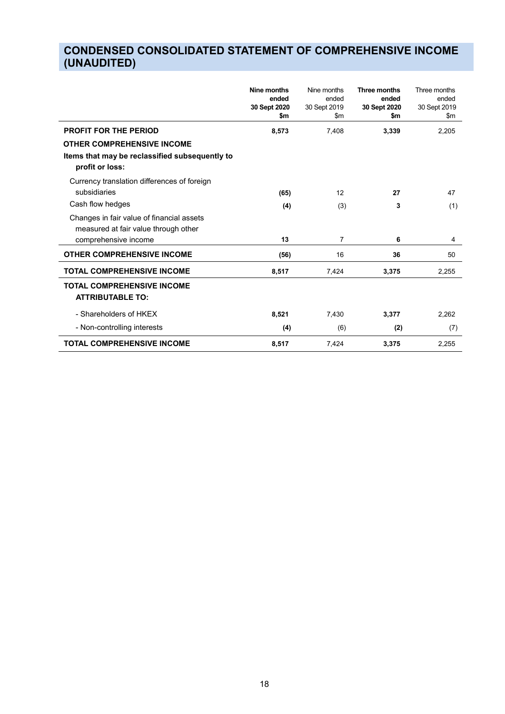# **CONDENSED CONSOLIDATED STATEMENT OF COMPREHENSIVE INCOME (UNAUDITED)**

|                                                                                   | Nine months<br>ended<br>30 Sept 2020<br>\$m | Nine months<br>ended<br>30 Sept 2019<br>\$m | Three months<br>ended<br>30 Sept 2020<br>\$m | Three months<br>ended<br>30 Sept 2019<br>\$m |
|-----------------------------------------------------------------------------------|---------------------------------------------|---------------------------------------------|----------------------------------------------|----------------------------------------------|
| <b>PROFIT FOR THE PERIOD</b>                                                      | 8,573                                       | 7,408                                       | 3,339                                        | 2,205                                        |
| <b>OTHER COMPREHENSIVE INCOME</b>                                                 |                                             |                                             |                                              |                                              |
| Items that may be reclassified subsequently to<br>profit or loss:                 |                                             |                                             |                                              |                                              |
| Currency translation differences of foreign                                       |                                             |                                             |                                              |                                              |
| subsidiaries                                                                      | (65)                                        | 12                                          | 27                                           | 47                                           |
| Cash flow hedges                                                                  | (4)                                         | (3)                                         | 3                                            | (1)                                          |
| Changes in fair value of financial assets<br>measured at fair value through other |                                             |                                             |                                              |                                              |
| comprehensive income                                                              | 13                                          | 7                                           | 6                                            | 4                                            |
| <b>OTHER COMPREHENSIVE INCOME</b>                                                 | (56)                                        | 16                                          | 36                                           | 50                                           |
| <b>TOTAL COMPREHENSIVE INCOME</b>                                                 | 8,517                                       | 7,424                                       | 3,375                                        | 2,255                                        |
| <b>TOTAL COMPREHENSIVE INCOME</b><br><b>ATTRIBUTABLE TO:</b>                      |                                             |                                             |                                              |                                              |
| - Shareholders of HKEX                                                            | 8,521                                       | 7,430                                       | 3,377                                        | 2,262                                        |
| - Non-controlling interests                                                       | (4)                                         | (6)                                         | (2)                                          | (7)                                          |
| <b>TOTAL COMPREHENSIVE INCOME</b>                                                 | 8,517                                       | 7,424                                       | 3,375                                        | 2,255                                        |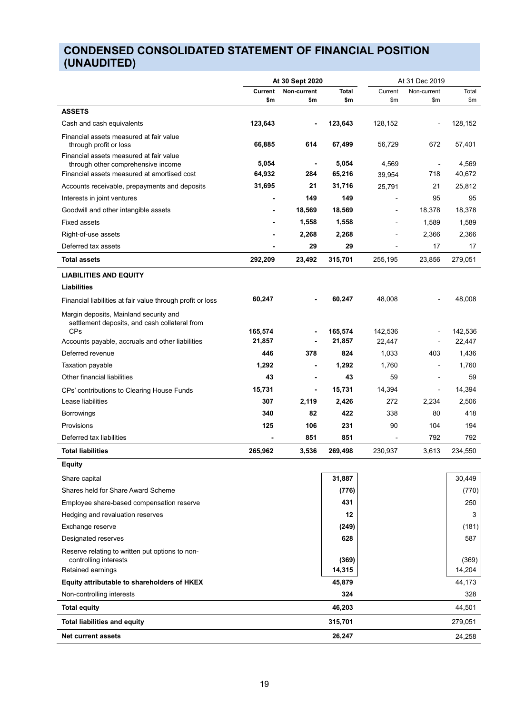# **CONDENSED CONSOLIDATED STATEMENT OF FINANCIAL POSITION (UNAUDITED)**

|                                                                                                       | At 30 Sept 2020   |             | At 31 Dec 2019    |                          |             |                   |
|-------------------------------------------------------------------------------------------------------|-------------------|-------------|-------------------|--------------------------|-------------|-------------------|
|                                                                                                       | <b>Current</b>    | Non-current | Total             | Current                  | Non-current | Total             |
|                                                                                                       | \$m               | \$m         | \$m               | \$m                      | \$m         | \$m               |
| <b>ASSETS</b>                                                                                         |                   |             |                   |                          |             |                   |
| Cash and cash equivalents                                                                             | 123,643           |             | 123,643           | 128,152                  |             | 128,152           |
| Financial assets measured at fair value<br>through profit or loss                                     | 66,885            | 614         | 67,499            | 56,729                   | 672         | 57,401            |
| Financial assets measured at fair value<br>through other comprehensive income                         | 5,054             |             | 5,054             | 4,569                    |             | 4,569             |
| Financial assets measured at amortised cost                                                           | 64,932            | 284         | 65,216            | 39,954                   | 718         | 40,672            |
| Accounts receivable, prepayments and deposits                                                         | 31,695            | 21          | 31,716            | 25,791                   | 21          | 25,812            |
| Interests in joint ventures                                                                           | $\blacksquare$    | 149         | 149               | $\overline{\phantom{a}}$ | 95          | 95                |
| Goodwill and other intangible assets                                                                  |                   | 18,569      | 18,569            |                          | 18,378      | 18,378            |
| <b>Fixed assets</b>                                                                                   |                   | 1,558       | 1,558             |                          | 1,589       | 1,589             |
| Right-of-use assets                                                                                   |                   | 2,268       | 2,268             |                          | 2,366       | 2,366             |
| Deferred tax assets                                                                                   |                   | 29          | 29                |                          | 17          | 17                |
| <b>Total assets</b>                                                                                   | 292,209           | 23,492      | 315,701           | 255,195                  | 23,856      | 279,051           |
| <b>LIABILITIES AND EQUITY</b>                                                                         |                   |             |                   |                          |             |                   |
| Liabilities                                                                                           |                   |             |                   |                          |             |                   |
| Financial liabilities at fair value through profit or loss                                            | 60,247            |             | 60,247            | 48,008                   |             | 48,008            |
| Margin deposits, Mainland security and<br>settlement deposits, and cash collateral from<br><b>CPs</b> |                   |             |                   |                          |             |                   |
| Accounts payable, accruals and other liabilities                                                      | 165,574<br>21,857 |             | 165,574<br>21,857 | 142,536<br>22,447        |             | 142,536<br>22,447 |
| Deferred revenue                                                                                      | 446               | 378         | 824               | 1,033                    | 403         | 1,436             |
| Taxation payable                                                                                      | 1,292             |             | 1,292             | 1,760                    |             | 1,760             |
| Other financial liabilities                                                                           | 43                |             | 43                | 59                       |             | 59                |
|                                                                                                       | 15,731            | ٠           | 15,731            | 14,394                   | ÷           | 14,394            |
| CPs' contributions to Clearing House Funds<br>Lease liabilities                                       | 307               | 2,119       | 2,426             | 272                      | 2,234       | 2,506             |
| <b>Borrowings</b>                                                                                     | 340               | 82          | 422               | 338                      | 80          | 418               |
| Provisions                                                                                            | 125               | 106         | 231               | 90                       | 104         | 194               |
| Deferred tax liabilities                                                                              |                   | 851         | 851               |                          | 792         | 792               |
| <b>Total liabilities</b>                                                                              | 265,962           | 3,536       | 269,498           | 230,937                  | 3,613       | 234,550           |
| <b>Equity</b>                                                                                         |                   |             |                   |                          |             |                   |
| Share capital                                                                                         |                   |             | 31,887            |                          |             | 30,449            |
| Shares held for Share Award Scheme                                                                    |                   |             | (776)             |                          |             | (770)             |
| Employee share-based compensation reserve                                                             |                   |             | 431               |                          |             | 250               |
| Hedging and revaluation reserves                                                                      |                   |             | 12                |                          |             | 3                 |
| Exchange reserve                                                                                      |                   |             | (249)             |                          |             | (181)             |
| Designated reserves                                                                                   |                   |             | 628               |                          |             | 587               |
| Reserve relating to written put options to non-<br>controlling interests                              |                   |             | (369)             |                          |             | (369)             |
| Retained earnings                                                                                     |                   |             | 14,315            |                          |             | 14,204            |
| Equity attributable to shareholders of HKEX                                                           |                   |             | 45,879            |                          |             | 44,173            |
| Non-controlling interests                                                                             |                   |             | 324               |                          |             | 328               |
| <b>Total equity</b>                                                                                   |                   |             | 46,203            |                          |             | 44,501            |
| <b>Total liabilities and equity</b>                                                                   |                   |             | 315,701           |                          |             | 279,051           |
| <b>Net current assets</b>                                                                             |                   |             | 26,247            |                          |             | 24,258            |